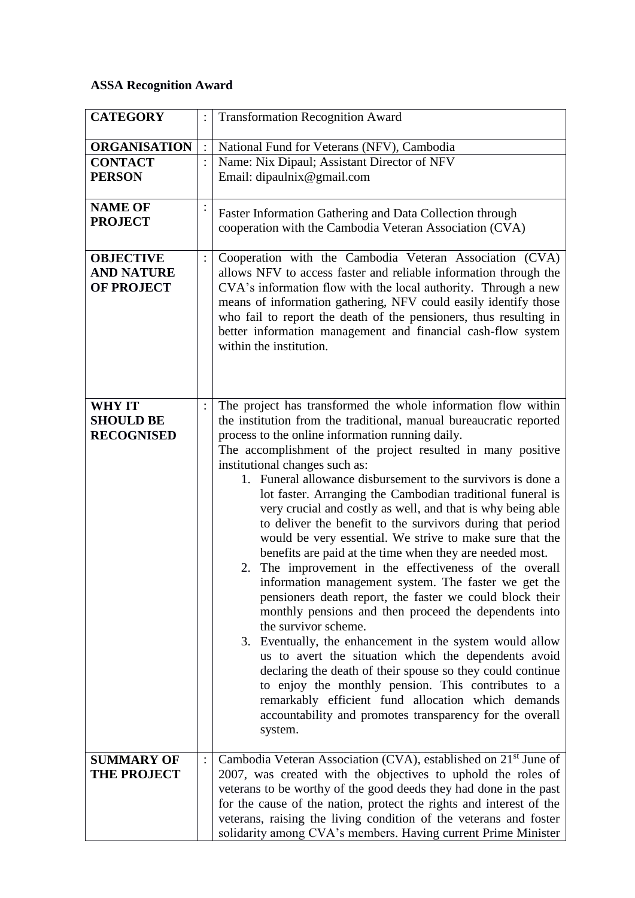## **ASSA Recognition Award**

| <b>CATEGORY</b>                                            |                | <b>Transformation Recognition Award</b>                                                                                                                                                                                                                                                                                                                                                                                                                                                                                                                                                                                                                                                                                                                                                                                                                                                                                                                                                                                                                                                                                                                                                                                                                                                                          |
|------------------------------------------------------------|----------------|------------------------------------------------------------------------------------------------------------------------------------------------------------------------------------------------------------------------------------------------------------------------------------------------------------------------------------------------------------------------------------------------------------------------------------------------------------------------------------------------------------------------------------------------------------------------------------------------------------------------------------------------------------------------------------------------------------------------------------------------------------------------------------------------------------------------------------------------------------------------------------------------------------------------------------------------------------------------------------------------------------------------------------------------------------------------------------------------------------------------------------------------------------------------------------------------------------------------------------------------------------------------------------------------------------------|
| <b>ORGANISATION</b>                                        |                | National Fund for Veterans (NFV), Cambodia                                                                                                                                                                                                                                                                                                                                                                                                                                                                                                                                                                                                                                                                                                                                                                                                                                                                                                                                                                                                                                                                                                                                                                                                                                                                       |
| <b>CONTACT</b>                                             | $\ddot{\cdot}$ | Name: Nix Dipaul; Assistant Director of NFV                                                                                                                                                                                                                                                                                                                                                                                                                                                                                                                                                                                                                                                                                                                                                                                                                                                                                                                                                                                                                                                                                                                                                                                                                                                                      |
| <b>PERSON</b>                                              |                | Email: dipaulnix@gmail.com                                                                                                                                                                                                                                                                                                                                                                                                                                                                                                                                                                                                                                                                                                                                                                                                                                                                                                                                                                                                                                                                                                                                                                                                                                                                                       |
| <b>NAME OF</b><br><b>PROJECT</b>                           |                | Faster Information Gathering and Data Collection through<br>cooperation with the Cambodia Veteran Association (CVA)                                                                                                                                                                                                                                                                                                                                                                                                                                                                                                                                                                                                                                                                                                                                                                                                                                                                                                                                                                                                                                                                                                                                                                                              |
| <b>OBJECTIVE</b><br><b>AND NATURE</b><br><b>OF PROJECT</b> | $\ddot{\cdot}$ | Cooperation with the Cambodia Veteran Association (CVA)<br>allows NFV to access faster and reliable information through the<br>CVA's information flow with the local authority. Through a new<br>means of information gathering, NFV could easily identify those<br>who fail to report the death of the pensioners, thus resulting in<br>better information management and financial cash-flow system<br>within the institution.                                                                                                                                                                                                                                                                                                                                                                                                                                                                                                                                                                                                                                                                                                                                                                                                                                                                                 |
| <b>WHY IT</b><br><b>SHOULD BE</b><br><b>RECOGNISED</b>     |                | The project has transformed the whole information flow within<br>the institution from the traditional, manual bureaucratic reported<br>process to the online information running daily.<br>The accomplishment of the project resulted in many positive<br>institutional changes such as:<br>1. Funeral allowance disbursement to the survivors is done a<br>lot faster. Arranging the Cambodian traditional funeral is<br>very crucial and costly as well, and that is why being able<br>to deliver the benefit to the survivors during that period<br>would be very essential. We strive to make sure that the<br>benefits are paid at the time when they are needed most.<br>2. The improvement in the effectiveness of the overall<br>information management system. The faster we get the<br>pensioners death report, the faster we could block their<br>monthly pensions and then proceed the dependents into<br>the survivor scheme.<br>3. Eventually, the enhancement in the system would allow<br>us to avert the situation which the dependents avoid<br>declaring the death of their spouse so they could continue<br>to enjoy the monthly pension. This contributes to a<br>remarkably efficient fund allocation which demands<br>accountability and promotes transparency for the overall<br>system. |
| <b>SUMMARY OF</b><br><b>THE PROJECT</b>                    |                | Cambodia Veteran Association (CVA), established on 21 <sup>st</sup> June of<br>2007, was created with the objectives to uphold the roles of<br>veterans to be worthy of the good deeds they had done in the past<br>for the cause of the nation, protect the rights and interest of the<br>veterans, raising the living condition of the veterans and foster<br>solidarity among CVA's members. Having current Prime Minister                                                                                                                                                                                                                                                                                                                                                                                                                                                                                                                                                                                                                                                                                                                                                                                                                                                                                    |